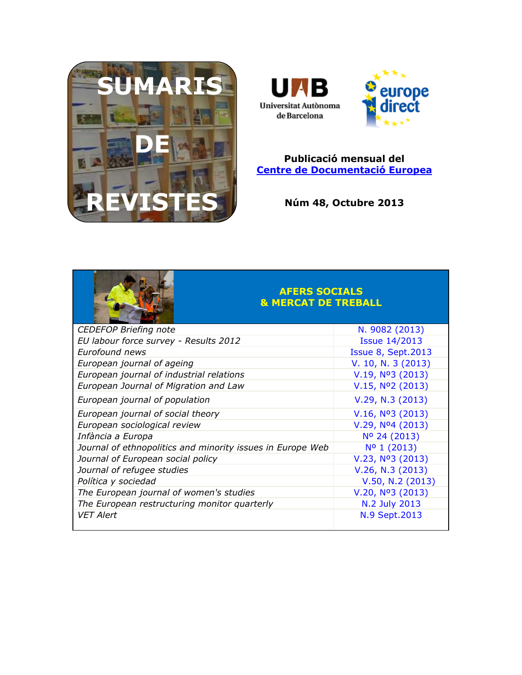



#### **Publicació mensual del [Centre de Documentació Europea](http://www.uab.cat/biblioteques/cde/)**

**Núm 48, Octubre 2013**



#### **AFERS SOCIALS & MERCAT DE TREBALL**

| <b>CEDEFOP Briefing note</b>                               | N. 9082 (2013)               |
|------------------------------------------------------------|------------------------------|
| EU labour force survey - Results 2012                      | <b>Issue 14/2013</b>         |
| Eurofound news                                             | <b>Issue 8, Sept.2013</b>    |
| European journal of ageing                                 | V. 10, N. 3 (2013)           |
| European journal of industrial relations                   | V.19, N <sup>o</sup> 3(2013) |
| European Journal of Migration and Law                      | V.15, N <sup>o</sup> 2(2013) |
| European journal of population                             | V.29, N.3 (2013)             |
| European journal of social theory                          | V.16, N <sup>o</sup> 3(2013) |
| European sociological review                               | V.29, Nº4 (2013)             |
| Infància a Europa                                          | Nº 24 (2013)                 |
| Journal of ethnopolitics and minority issues in Europe Web | Nº 1 (2013)                  |
| Journal of European social policy                          | V.23, Nº3 (2013)             |
| Journal of refugee studies                                 | V.26, N.3 (2013)             |
| Política y sociedad                                        | V.50, N.2 (2013)             |
| The European journal of women's studies                    | V.20, N <sup>o</sup> 3(2013) |
| The European restructuring monitor quarterly               | N.2 July 2013                |
| <b>VET Alert</b>                                           | N.9 Sept.2013                |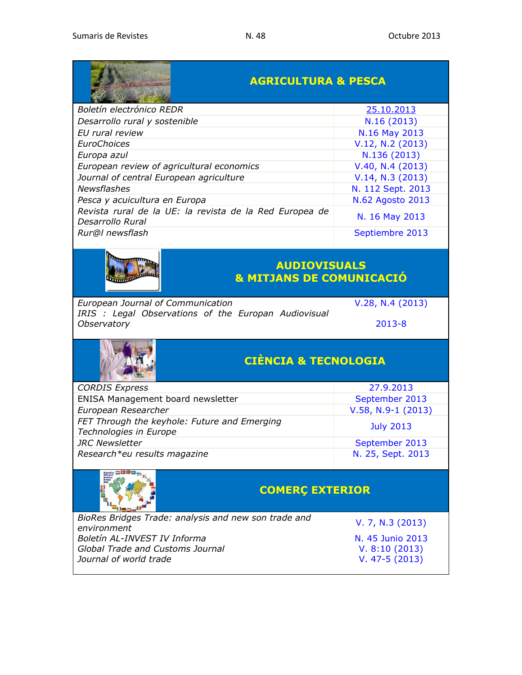**CONTRACTOR** 

|                                                                             | <b>AGRICULTURA &amp; PESCA</b> |  |
|-----------------------------------------------------------------------------|--------------------------------|--|
| Boletín electrónico REDR                                                    | 25.10.2013                     |  |
| Desarrollo rural y sostenible                                               | N.16(2013)                     |  |
| EU rural review                                                             | N.16 May 2013                  |  |
| <b>EuroChoices</b>                                                          | V.12, N.2 (2013)               |  |
| Europa azul                                                                 | N.136 (2013)                   |  |
| European review of agricultural economics                                   | V.40, N.4(2013)                |  |
| Journal of central European agriculture                                     | V.14, N.3 (2013)               |  |
| Newsflashes                                                                 | N. 112 Sept. 2013              |  |
| Pesca y acuicultura en Europa                                               | N.62 Agosto 2013               |  |
| Revista rural de la UE: la revista de la Red Europea de<br>Desarrollo Rural | N. 16 May 2013                 |  |
| Rur@l newsflash                                                             | Septiembre 2013                |  |



### **AUDIOVISUALS & MITJANS DE COMUNICACIÓ**

*[European Journal of Communication](http://ejc.sagepub.com/content/current)*<br> [V.28, N.4](http://ejc.sagepub.com/content/current) (2013) *[IRIS : Legal Observations of the Europan Audiovisual](http://merlin.obs.coe.int/newsletter.php)  [Observatory](http://merlin.obs.coe.int/newsletter.php)* [2013-8](http://merlin.obs.coe.int/newsletter.php)



## **CIÈNCIA & TECNOLOGIA**

| <b>CORDIS Express</b>                                                  | 27.9.2013            |
|------------------------------------------------------------------------|----------------------|
| ENISA Management board newsletter                                      | September 2013       |
| European Researcher                                                    | $V.58, N.9-1$ (2013) |
| FET Through the keyhole: Future and Emerging<br>Technologies in Europe | <b>July 2013</b>     |
| <b>JRC</b> Newsletter                                                  | September 2013       |
| Research*eu results magazine                                           | N. 25, Sept. 2013    |



## **COMERÇ EXTERIOR**

| <b>REPORT OF STREET</b>          |                                                      |                  |
|----------------------------------|------------------------------------------------------|------------------|
|                                  | BioRes Bridges Trade: analysis and new son trade and | V. 7, N.3 (2013) |
| environment                      |                                                      |                  |
| Boletín AL-INVEST IV Informa     |                                                      | N. 45 Junio 2013 |
| Global Trade and Customs Journal |                                                      | V. 8:10(2013)    |
| Journal of world trade           |                                                      | $V. 47-5(2013)$  |
|                                  |                                                      |                  |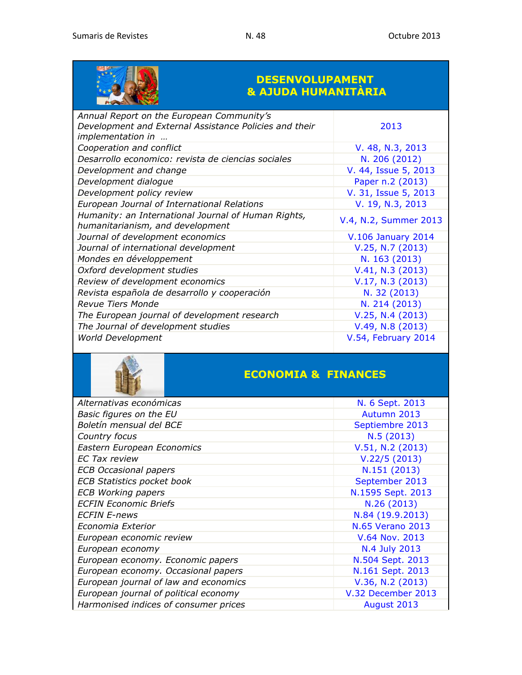

### **DESENVOLUPAMENT & AJUDA HUMANITÀRIA**

| Annual Report on the European Community's<br>Development and External Assistance Policies and their<br>implementation in | 2013                      |
|--------------------------------------------------------------------------------------------------------------------------|---------------------------|
| Cooperation and conflict                                                                                                 | V. 48, N.3, 2013          |
| Desarrollo economico: revista de ciencias sociales                                                                       | N. 206 (2012)             |
| Development and change                                                                                                   | V. 44, Issue 5, 2013      |
| Development dialogue                                                                                                     | Paper n.2 (2013)          |
| Development policy review                                                                                                | V. 31, Issue 5, 2013      |
| European Journal of International Relations                                                                              | V. 19, N.3, 2013          |
| Humanity: an International Journal of Human Rights,<br>humanitarianism, and development                                  | V.4, N.2, Summer 2013     |
| Journal of development economics                                                                                         | <b>V.106 January 2014</b> |
| Journal of international development                                                                                     | V.25, N.7 (2013)          |
| Mondes en développement                                                                                                  | N. 163 (2013)             |
| Oxford development studies                                                                                               | V.41, N.3 (2013)          |
| Review of development economics                                                                                          | V.17, N.3 (2013)          |
| Revista española de desarrollo y cooperación                                                                             | N. 32 (2013)              |
| Revue Tiers Monde                                                                                                        | N. 214 (2013)             |
| The European journal of development research                                                                             | V.25, N.4 (2013)          |
| The Journal of development studies                                                                                       | $V.49, N.8$ (2013)        |
| <b>World Development</b>                                                                                                 | V.54, February 2014       |



## **ECONOMIA & FINANCES**

| Alternativas económicas               | N. 6 Sept. 2013         |
|---------------------------------------|-------------------------|
| Basic figures on the EU               | Autumn 2013             |
| Boletín mensual del BCE               | Septiembre 2013         |
| Country focus                         | N.5(2013)               |
| Eastern European Economics            | V.51, N.2 (2013)        |
| <b>EC Tax review</b>                  | V.22/5(2013)            |
| <b>ECB Occasional papers</b>          | N.151 (2013)            |
| <b>ECB Statistics pocket book</b>     | September 2013          |
| <b>ECB Working papers</b>             | N.1595 Sept. 2013       |
| <b>ECFIN Economic Briefs</b>          | N.26 (2013)             |
| <b>ECFIN E-news</b>                   | N.84 (19.9.2013)        |
| Economia Exterior                     | <b>N.65 Verano 2013</b> |
| European economic review              | V.64 Nov. 2013          |
| European economy                      | N.4 July 2013           |
| European economy. Economic papers     | N.504 Sept. 2013        |
| European economy. Occasional papers   | N.161 Sept. 2013        |
| European journal of law and economics | V.36, N.2 (2013)        |
| European journal of political economy | V.32 December 2013      |
| Harmonised indices of consumer prices | August 2013             |
|                                       |                         |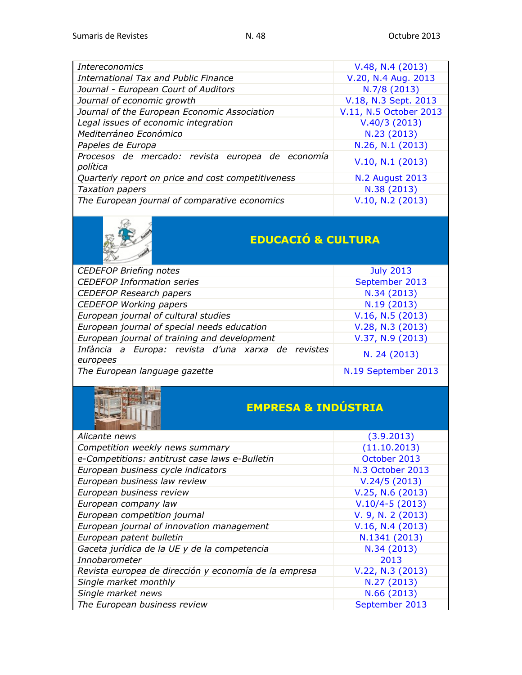| <i>Intereconomics</i>                                        | V.48, N.4 (2013)       |
|--------------------------------------------------------------|------------------------|
| International Tax and Public Finance                         | V.20, N.4 Aug. 2013    |
| Journal - European Court of Auditors                         | N.7/8 (2013)           |
| Journal of economic growth                                   | V.18, N.3 Sept. 2013   |
| Journal of the European Economic Association                 | V.11, N.5 October 2013 |
| Legal issues of economic integration                         | V.40/3(2013)           |
| Mediterráneo Económico                                       | N.23 (2013)            |
| Papeles de Europa                                            | N.26, N.1 (2013)       |
| Procesos de mercado: revista europea de economía<br>política | V.10, N.1 (2013)       |
| Quarterly report on price and cost competitiveness           | <b>N.2 August 2013</b> |
| <b>Taxation papers</b>                                       | N.38 (2013)            |
| The European journal of comparative economics                | V.10, N.2 (2013)       |



# **EDUCACIÓ & CULTURA**

| <b>CEDEFOP Briefing notes</b>                                  | <b>July 2013</b>    |
|----------------------------------------------------------------|---------------------|
| <b>CEDEFOP Information series</b>                              | September 2013      |
| <b>CEDEFOP Research papers</b>                                 | N.34 (2013)         |
| <b>CEDEFOP Working papers</b>                                  | N.19 (2013)         |
| European journal of cultural studies                           | V.16, N.5 (2013)    |
| European journal of special needs education                    | V.28, N.3 (2013)    |
| European journal of training and development                   | $V.37, N.9$ (2013)  |
| Infància a Europa: revista d'una xarxa de revistes<br>europees | N. 24 (2013)        |
| The European language gazette                                  | N.19 September 2013 |



# **EMPRESA & INDÚSTRIA**

| Alicante news                                         | (3.9.2013)        |
|-------------------------------------------------------|-------------------|
| Competition weekly news summary                       | (11.10.2013)      |
| e-Competitions: antitrust case laws e-Bulletin        | October 2013      |
| European business cycle indicators                    | N.3 October 2013  |
| European business law review                          | V.24/5(2013)      |
| European business review                              | V.25, N.6(2013)   |
| European company law                                  | $V.10/4-5(2013)$  |
| European competition journal                          | V. 9, N. 2 (2013) |
| European journal of innovation management             | V.16, N.4 (2013)  |
| European patent bulletin                              | N.1341 (2013)     |
| Gaceta jurídica de la UE y de la competencia          | N.34 (2013)       |
| Innobarometer                                         | 2013              |
| Revista europea de dirección y economía de la empresa | V.22, N.3 (2013)  |
| Single market monthly                                 | N.27 (2013)       |
| Single market news                                    | N.66 (2013)       |
| The European business review                          | September 2013    |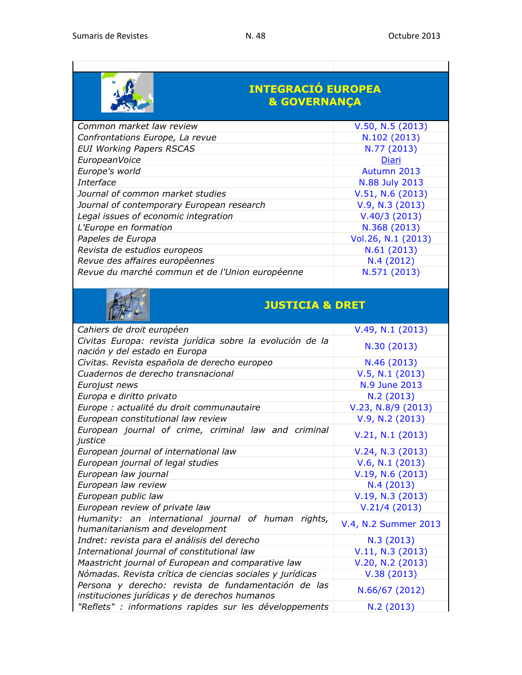

### **INTEGRACIÓ EUROPEA & GOVERNANÇA**

| Common market law review                        | V.50, N.5 (2013)   |
|-------------------------------------------------|--------------------|
| Confrontations Europe, La revue                 | N.102 (2013)       |
| <b>EUI Working Papers RSCAS</b>                 | N.77 (2013)        |
| EuropeanVoice                                   | Diari              |
| Europe's world                                  | Autumn 2013        |
| Interface                                       | N.88 July 2013     |
| Journal of common market studies                | V.51, N.6 (2013)   |
| Journal of contemporary European research       | V.9, N.3 (2013)    |
| Legal issues of economic integration            | V.40/3(2013)       |
| L'Europe en formation                           | N.368 (2013)       |
| Papeles de Europa                               | Vol.26, N.1 (2013) |
| Revista de estudios europeos                    | N.61 (2013)        |
| Revue des affaires européennes                  | N.4(2012)          |
| Revue du marché commun et de l'Union européenne | N.571 (2013)       |



### **JUSTICIA & DRET**

| Cahiers de droit européen                                                                            | V.49, N.1 (2013)     |
|------------------------------------------------------------------------------------------------------|----------------------|
| Civitas Europa: revista jurídica sobre la evolución de la<br>nación y del estado en Europa           | N.30 (2013)          |
| Civitas. Revista española de derecho europeo                                                         | N.46 (2013)          |
| Cuadernos de derecho transnacional                                                                   | V.5, N.1 (2013)      |
| Eurojust news                                                                                        | N.9 June 2013        |
| Europa e diritto privato                                                                             | N.2(2013)            |
| Europe : actualité du droit communautaire                                                            | $V.23, N.8/9$ (2013) |
| European constitutional law review                                                                   | V.9, N.2 (2013)      |
| European journal of crime, criminal law and criminal<br>justice                                      | V.21, N.1 (2013)     |
| European journal of international law                                                                | V.24, N.3 (2013)     |
| European journal of legal studies                                                                    | V.6, N.1 (2013)      |
| European law journal                                                                                 | V.19, N.6(2013)      |
| European law review                                                                                  | N.4(2013)            |
| European public law                                                                                  | V.19, N.3 (2013)     |
| European review of private law                                                                       | V.21/4(2013)         |
| Humanity: an international journal of human rights,<br>humanitarianism and development               | V.4, N.2 Summer 2013 |
| Indret: revista para el análisis del derecho                                                         | N.3(2013)            |
| International journal of constitutional law                                                          | V.11, N.3 (2013)     |
| Maastricht journal of European and comparative law                                                   | V.20, N.2 (2013)     |
| Nómadas. Revista crítica de ciencias sociales y jurídicas                                            | V.38(2013)           |
| Persona y derecho: revista de fundamentación de las<br>instituciones jurídicas y de derechos humanos | N.66/67 (2012)       |
| "Reflets" : informations rapides sur les développements                                              | N.2(2013)            |
|                                                                                                      |                      |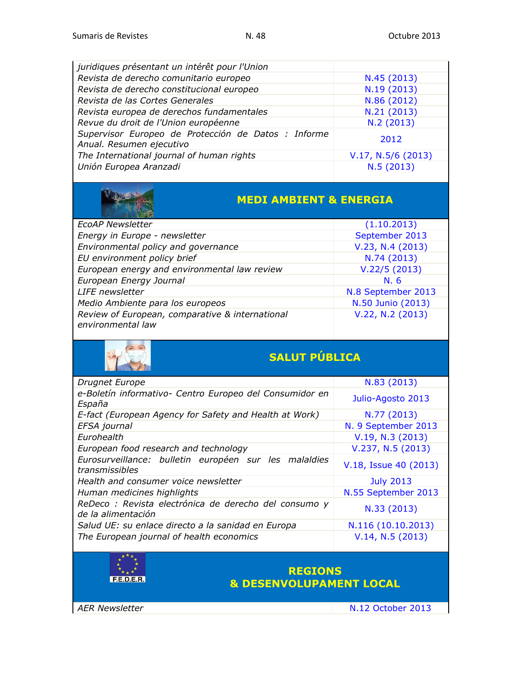| juridiques présentant un intérêt pour l'Union                                   |                      |
|---------------------------------------------------------------------------------|----------------------|
| Revista de derecho comunitario europeo                                          | N.45 (2013)          |
| Revista de derecho constitucional europeo                                       | N.19 (2013)          |
| Revista de las Cortes Generales                                                 | N.86 (2012)          |
| Revista europea de derechos fundamentales                                       | N.21(2013)           |
| Revue du droit de l'Union européenne                                            | N.2(2013)            |
| Supervisor Europeo de Protección de Datos : Informe<br>Anual. Resumen ejecutivo | 2012                 |
| The International journal of human rights                                       | $V.17, N.5/6$ (2013) |
| Unión Europea Aranzadi                                                          | N.5(2013)            |



### **MEDI AMBIENT & ENERGIA**

| (1.10.2013)        |
|--------------------|
| September 2013     |
| V.23, N.4 (2013)   |
| N.74 (2013)        |
| V.22/5(2013)       |
| N.6                |
| N.8 September 2013 |
| N.50 Junio (2013)  |
| V.22, N.2 (2013)   |
|                    |



# **SALUT PÚBLICA**

| Drugnet Europe                                                              | N.83 (2013)           |
|-----------------------------------------------------------------------------|-----------------------|
| e-Boletín informativo- Centro Europeo del Consumidor en<br>España           | Julio-Agosto 2013     |
| E-fact (European Agency for Safety and Health at Work)                      | N.77 (2013)           |
| EFSA journal                                                                | N. 9 September 2013   |
| Eurohealth                                                                  | V.19, N.3 (2013)      |
| European food research and technology                                       | V.237, N.5(2013)      |
| Eurosurveillance: bulletin européen sur les malaldies<br>transmissibles     | V.18, Issue 40 (2013) |
| Health and consumer voice newsletter                                        | <b>July 2013</b>      |
| Human medicines highlights                                                  | N.55 September 2013   |
| ReDeco : Revista electrónica de derecho del consumo y<br>de la alimentación | N.33 (2013)           |
| Salud UE: su enlace directo a la sanidad en Europa                          | N.116 (10.10.2013)    |
| The European journal of health economics                                    | V.14, N.5 (2013)      |

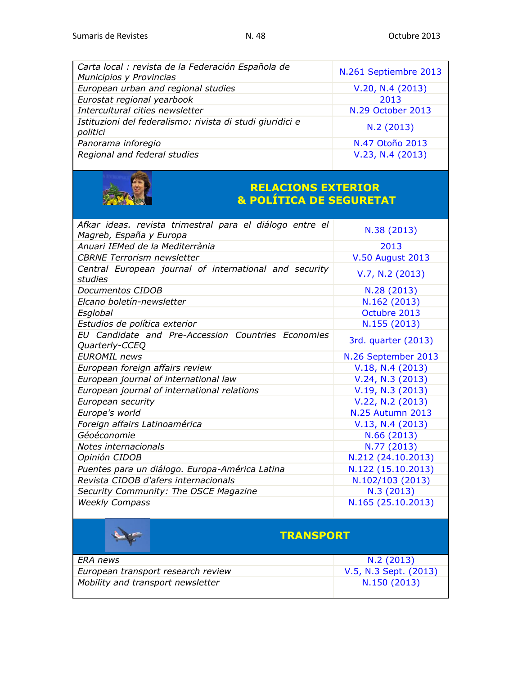| Carta local : revista de la Federación Española de<br>Municipios y Provincias | N.261 Septiembre 2013 |
|-------------------------------------------------------------------------------|-----------------------|
| European urban and regional studies                                           | V.20, N.4 (2013)      |
| Eurostat regional yearbook                                                    | 2013                  |
| Intercultural cities newsletter                                               | N.29 October 2013     |
| Istituzioni del federalismo: rivista di studi giuridici e<br>politici         | N.2(2013)             |
| Panorama inforegio                                                            | N.47 Otoño 2013       |
| Regional and federal studies                                                  | V.23, N.4 (2013)      |



#### **RELACIONS EXTERIOR & POLÍTICA DE SEGURETAT**

| Afkar ideas. revista trimestral para el diálogo entre el<br>Magreb, España y Europa | N.38 (2013)             |
|-------------------------------------------------------------------------------------|-------------------------|
| Anuari IEMed de la Mediterrània                                                     | 2013                    |
| <b>CBRNE Terrorism newsletter</b>                                                   | <b>V.50 August 2013</b> |
| Central European journal of international and security<br>studies                   | V.7, N.2 (2013)         |
| Documentos CIDOB                                                                    | N.28 (2013)             |
| Elcano boletín-newsletter                                                           | N.162 (2013)            |
| Esglobal                                                                            | Octubre 2013            |
| Estudios de política exterior                                                       | N.155 (2013)            |
| EU Candidate and Pre-Accession Countries Economies<br>Quarterly-CCEQ                | 3rd. quarter (2013)     |
| <b>EUROMIL</b> news                                                                 | N.26 September 2013     |
| European foreign affairs review                                                     | V.18, N.4(2013)         |
| European journal of international law                                               | V.24, N.3 (2013)        |
| European journal of international relations                                         | V.19, N.3 (2013)        |
| European security                                                                   | V.22, N.2 (2013)        |
| Europe's world                                                                      | <b>N.25 Autumn 2013</b> |
| Foreign affairs Latinoamérica                                                       | V.13, N.4(2013)         |
| Géoéconomie                                                                         | N.66 (2013)             |
| Notes internacionals                                                                | N.77 (2013)             |
| Opinión CIDOB                                                                       | N.212 (24.10.2013)      |
| Puentes para un diálogo. Europa-América Latina                                      | N.122 (15.10.2013)      |
| Revista CIDOB d'afers internacionals                                                | N.102/103 (2013)        |
| Security Community: The OSCE Magazine                                               | N.3(2013)               |
| <b>Weekly Compass</b>                                                               | N.165 (25.10.2013)      |

|                                   | <b>TRANSPORT</b>                   |                       |  |
|-----------------------------------|------------------------------------|-----------------------|--|
| <i>ERA news</i>                   |                                    | N.2(2013)             |  |
|                                   | European transport research review | V.5, N.3 Sept. (2013) |  |
| Mobility and transport newsletter |                                    | N.150 (2013)          |  |